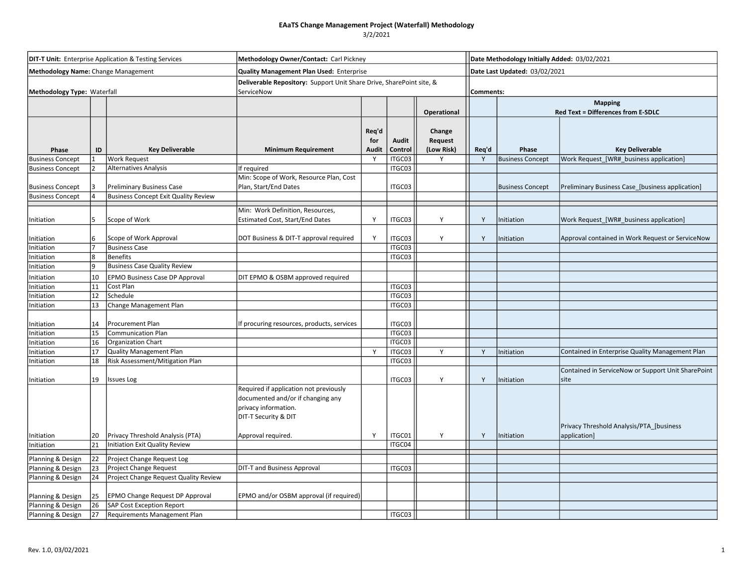## 3/2/2021

| <b>DIT-T Unit:</b> Enterprise Application & Testing Services<br>Methodology Name: Change Management |                |                                                        | Methodology Owner/Contact: Carl Pickney<br>Quality Management Plan Used: Enterprise                                         |                              |                  |                                 |       | Date Methodology Initially Added: 03/02/2021<br>Date Last Updated: 03/02/2021 |                                                            |  |  |
|-----------------------------------------------------------------------------------------------------|----------------|--------------------------------------------------------|-----------------------------------------------------------------------------------------------------------------------------|------------------------------|------------------|---------------------------------|-------|-------------------------------------------------------------------------------|------------------------------------------------------------|--|--|
|                                                                                                     |                |                                                        |                                                                                                                             |                              |                  |                                 |       |                                                                               |                                                            |  |  |
|                                                                                                     |                |                                                        |                                                                                                                             |                              |                  | Operational                     |       | <b>Mapping</b><br>Red Text = Differences from E-SDLC                          |                                                            |  |  |
| Phase                                                                                               | ID             | <b>Key Deliverable</b>                                 | <b>Minimum Requirement</b>                                                                                                  | Req'd<br>for<br><b>Audit</b> | Audit<br>Control | Change<br>Request<br>(Low Risk) | Req'd | Phase                                                                         | <b>Key Deliverable</b>                                     |  |  |
| <b>Business Concept</b>                                                                             |                | <b>Work Request</b>                                    |                                                                                                                             | Y                            | ITGC03           | Y                               | Y     | <b>Business Concept</b>                                                       | Work Request [WR# business application]                    |  |  |
| <b>Business Concept</b>                                                                             | $\mathfrak{p}$ | <b>Alternatives Analysis</b>                           | If required                                                                                                                 |                              | ITGC03           |                                 |       |                                                                               |                                                            |  |  |
| <b>Business Concept</b>                                                                             |                | <b>Preliminary Business Case</b>                       | Min: Scope of Work, Resource Plan, Cost<br>Plan, Start/End Dates                                                            |                              | ITGC03           |                                 |       | <b>Business Concept</b>                                                       | Preliminary Business Case_[business application]           |  |  |
| <b>Business Concept</b>                                                                             |                | <b>Business Concept Exit Quality Review</b>            |                                                                                                                             |                              |                  |                                 |       |                                                                               |                                                            |  |  |
| Initiation                                                                                          |                | Scope of Work                                          | Min: Work Definition, Resources,<br><b>Estimated Cost, Start/End Dates</b>                                                  | Y                            | ITGC03           | Y                               | Y     | Initiation                                                                    | Work Request_[WR#_business application]                    |  |  |
| nitiation                                                                                           | 6              | Scope of Work Approval                                 | DOT Business & DIT-T approval required                                                                                      | Y                            | ITGC03           | Y                               | Y     | Initiation                                                                    | Approval contained in Work Request or ServiceNow           |  |  |
| nitiation                                                                                           |                | <b>Business Case</b>                                   |                                                                                                                             |                              | ITGC03           |                                 |       |                                                                               |                                                            |  |  |
| nitiation                                                                                           | 8<br>١q        | <b>Benefits</b><br><b>Business Case Quality Review</b> |                                                                                                                             |                              | ITGC03           |                                 |       |                                                                               |                                                            |  |  |
| nitiation                                                                                           |                |                                                        |                                                                                                                             |                              |                  |                                 |       |                                                                               |                                                            |  |  |
| Initiation                                                                                          | 10             | <b>EPMO Business Case DP Approval</b>                  | DIT EPMO & OSBM approved required                                                                                           |                              |                  |                                 |       |                                                                               |                                                            |  |  |
| Initiation<br>Initiation                                                                            | 11<br>12       | Cost Plan<br>Schedule                                  |                                                                                                                             |                              | ITGC03<br>ITGC03 |                                 |       |                                                                               |                                                            |  |  |
| Initiation                                                                                          | 13             | Change Management Plan                                 |                                                                                                                             |                              | ITGC03           |                                 |       |                                                                               |                                                            |  |  |
|                                                                                                     |                |                                                        |                                                                                                                             |                              |                  |                                 |       |                                                                               |                                                            |  |  |
| nitiation                                                                                           | 14             | Procurement Plan                                       | If procuring resources, products, services                                                                                  |                              | ITGC03           |                                 |       |                                                                               |                                                            |  |  |
| Initiation                                                                                          | 15             | <b>Communication Plan</b>                              |                                                                                                                             |                              | ITGC03           |                                 |       |                                                                               |                                                            |  |  |
| Initiation                                                                                          | 16             | Organization Chart                                     |                                                                                                                             |                              | ITGC03           |                                 |       |                                                                               |                                                            |  |  |
| Initiation                                                                                          | 17             | Quality Management Plan                                |                                                                                                                             | <b>V</b>                     | ITGC03           | Y                               | Y     | Initiation                                                                    | Contained in Enterprise Quality Management Plan            |  |  |
| Initiation                                                                                          | 18             | Risk Assessment/Mitigation Plan                        |                                                                                                                             |                              | ITGC03           |                                 |       |                                                                               |                                                            |  |  |
| Initiation                                                                                          | 19             | <b>Issues Log</b>                                      |                                                                                                                             |                              | ITGC03           | Y                               | Y     | Initiation                                                                    | Contained in ServiceNow or Support Unit SharePoint<br>site |  |  |
|                                                                                                     |                |                                                        | Required if application not previously<br>documented and/or if changing any<br>privacy information.<br>DIT-T Security & DIT |                              |                  |                                 |       |                                                                               | Privacy Threshold Analysis/PTA_[business                   |  |  |
| Initiation                                                                                          | 20             | Privacy Threshold Analysis (PTA)                       | Approval required.                                                                                                          | Y                            | ITGC01           | Y                               | Y     | Initiation                                                                    | application]                                               |  |  |
| Initiation                                                                                          | 21             | Initiation Exit Quality Review                         |                                                                                                                             |                              | ITGC04           |                                 |       |                                                                               |                                                            |  |  |
| Planning & Design                                                                                   | 22             | Project Change Request Log                             |                                                                                                                             |                              |                  |                                 |       |                                                                               |                                                            |  |  |
| Planning & Design                                                                                   | 23             | Project Change Request                                 | <b>DIT-T and Business Approval</b>                                                                                          |                              | ITGC03           |                                 |       |                                                                               |                                                            |  |  |
| Planning & Design                                                                                   | 24             | Project Change Request Quality Review                  |                                                                                                                             |                              |                  |                                 |       |                                                                               |                                                            |  |  |
| Planning & Design                                                                                   | 25             | EPMO Change Request DP Approval                        | EPMO and/or OSBM approval (if required)                                                                                     |                              |                  |                                 |       |                                                                               |                                                            |  |  |
| Planning & Design                                                                                   | 26             | SAP Cost Exception Report                              |                                                                                                                             |                              |                  |                                 |       |                                                                               |                                                            |  |  |
| Planning & Design                                                                                   | 27             | <b>Requirements Management Plan</b>                    |                                                                                                                             |                              | ITGC03           |                                 |       |                                                                               |                                                            |  |  |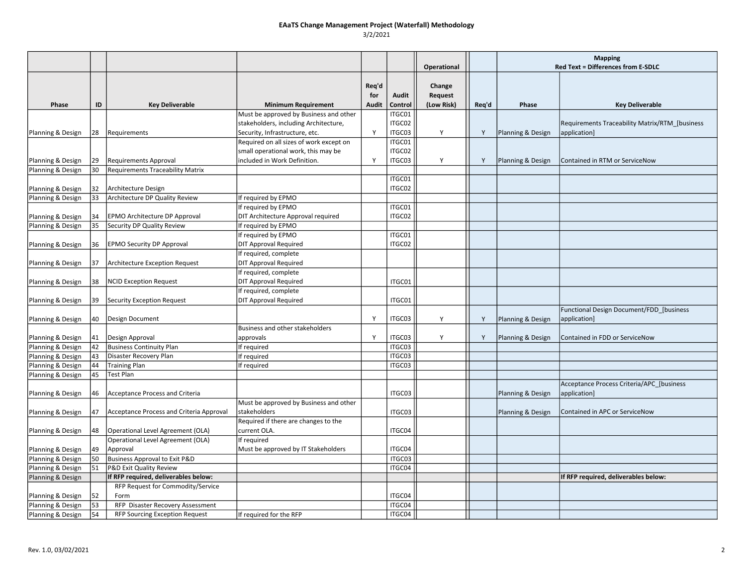|                   |    |                                          |                                                                                 |          |                  |             |       | <b>Mapping</b>                     |                                                |
|-------------------|----|------------------------------------------|---------------------------------------------------------------------------------|----------|------------------|-------------|-------|------------------------------------|------------------------------------------------|
|                   |    |                                          |                                                                                 |          |                  | Operational |       | Red Text = Differences from E-SDLC |                                                |
|                   |    |                                          |                                                                                 | Req'd    |                  | Change      |       |                                    |                                                |
|                   |    |                                          |                                                                                 | for      | Audit            | Request     |       |                                    |                                                |
| Phase             | ID | <b>Key Deliverable</b>                   | <b>Minimum Requirement</b>                                                      | Audit    | Control          | (Low Risk)  | Req'd | Phase                              | <b>Key Deliverable</b>                         |
|                   |    |                                          | Must be approved by Business and other<br>stakeholders, including Architecture, |          | ITGC01<br>ITGC02 |             |       |                                    | Requirements Traceability Matrix/RTM_[business |
| Planning & Design | 28 | Requirements                             | Security, Infrastructure, etc.                                                  | <b>Y</b> | ITGC03           | Y           | Y     | Planning & Design                  | application]                                   |
|                   |    |                                          | Required on all sizes of work except on                                         |          | ITGC01           |             |       |                                    |                                                |
|                   |    |                                          | small operational work, this may be                                             |          | ITGC02           |             |       |                                    |                                                |
| Planning & Design | 29 | <b>Requirements Approval</b>             | included in Work Definition.                                                    | Y        | ITGC03           | Y           | Υ     | Planning & Design                  | Contained in RTM or ServiceNow                 |
| Planning & Design | 30 | <b>Requirements Traceability Matrix</b>  |                                                                                 |          |                  |             |       |                                    |                                                |
|                   |    |                                          |                                                                                 |          | ITGC01           |             |       |                                    |                                                |
| Planning & Design | 32 | Architecture Design                      |                                                                                 |          | ITGC02           |             |       |                                    |                                                |
| Planning & Design | 33 | Architecture DP Quality Review           | If required by EPMO                                                             |          |                  |             |       |                                    |                                                |
|                   |    |                                          | If required by EPMO                                                             |          | ITGC01           |             |       |                                    |                                                |
| Planning & Design | 34 | EPMO Architecture DP Approval            | DIT Architecture Approval required                                              |          | ITGC02           |             |       |                                    |                                                |
| Planning & Design | 35 | Security DP Quality Review               | If required by EPMO                                                             |          |                  |             |       |                                    |                                                |
|                   |    |                                          | If required by EPMO                                                             |          | ITGC01           |             |       |                                    |                                                |
| Planning & Design | 36 | <b>EPMO Security DP Approval</b>         | <b>DIT Approval Required</b>                                                    |          | ITGC02           |             |       |                                    |                                                |
|                   |    |                                          | If required, complete                                                           |          |                  |             |       |                                    |                                                |
| Planning & Design | 37 | Architecture Exception Request           | <b>DIT Approval Required</b>                                                    |          |                  |             |       |                                    |                                                |
|                   |    |                                          | If required, complete                                                           |          |                  |             |       |                                    |                                                |
| Planning & Design | 38 | <b>NCID Exception Request</b>            | <b>DIT Approval Required</b>                                                    |          | ITGC01           |             |       |                                    |                                                |
|                   |    |                                          | If required, complete                                                           |          |                  |             |       |                                    |                                                |
| Planning & Design | 39 | Security Exception Request               | <b>DIT Approval Required</b>                                                    |          | ITGC01           |             |       |                                    |                                                |
|                   |    |                                          |                                                                                 |          |                  |             |       |                                    | Functional Design Document/FDD_[business       |
| Planning & Design | 40 | Design Document                          |                                                                                 | Y        | ITGC03           | Y           | Y     | Planning & Design                  | application]                                   |
|                   |    |                                          | Business and other stakeholders                                                 |          |                  |             |       |                                    |                                                |
| Planning & Design | 41 | Design Approval                          | approvals                                                                       | Y        | ITGC03           | Y           | Y     | Planning & Design                  | Contained in FDD or ServiceNow                 |
| Planning & Design | 42 | <b>Business Continuity Plan</b>          | If required                                                                     |          | ITGC03           |             |       |                                    |                                                |
| Planning & Design | 43 | Disaster Recovery Plan                   | If required                                                                     |          | ITGC03           |             |       |                                    |                                                |
| Planning & Design | 44 | <b>Training Plan</b>                     | If required                                                                     |          | ITGC03           |             |       |                                    |                                                |
| Planning & Design | 45 | <b>Test Plan</b>                         |                                                                                 |          |                  |             |       |                                    |                                                |
|                   |    |                                          |                                                                                 |          |                  |             |       |                                    | Acceptance Process Criteria/APC_[business      |
| Planning & Design | 46 | Acceptance Process and Criteria          |                                                                                 |          | ITGC03           |             |       | Planning & Design                  | application]                                   |
|                   |    |                                          | Must be approved by Business and other                                          |          |                  |             |       |                                    |                                                |
| Planning & Design | 47 | Acceptance Process and Criteria Approval | stakeholders                                                                    |          | ITGC03           |             |       | Planning & Design                  | Contained in APC or ServiceNow                 |
|                   |    |                                          | Required if there are changes to the                                            |          |                  |             |       |                                    |                                                |
| Planning & Design | 48 | Operational Level Agreement (OLA)        | current OLA.                                                                    |          | ITGC04           |             |       |                                    |                                                |
|                   |    | Operational Level Agreement (OLA)        | If required                                                                     |          |                  |             |       |                                    |                                                |
| Planning & Design | 49 | Approval                                 | Must be approved by IT Stakeholders                                             |          | ITGC04           |             |       |                                    |                                                |
| Planning & Design | 50 | Business Approval to Exit P&D            |                                                                                 |          | ITGC03           |             |       |                                    |                                                |
| Planning & Design | 51 | P&D Exit Quality Review                  |                                                                                 |          | ITGC04           |             |       |                                    |                                                |
| Planning & Design |    | If RFP required, deliverables below:     |                                                                                 |          |                  |             |       |                                    | If RFP required, deliverables below:           |
|                   |    | RFP Request for Commodity/Service        |                                                                                 |          |                  |             |       |                                    |                                                |
| Planning & Design | 52 | Form                                     |                                                                                 |          | ITGC04           |             |       |                                    |                                                |
| Planning & Design | 53 | RFP Disaster Recovery Assessment         |                                                                                 |          | ITGC04           |             |       |                                    |                                                |
| Planning & Design | 54 | <b>RFP Sourcing Exception Request</b>    | If required for the RFP                                                         |          | ITGC04           |             |       |                                    |                                                |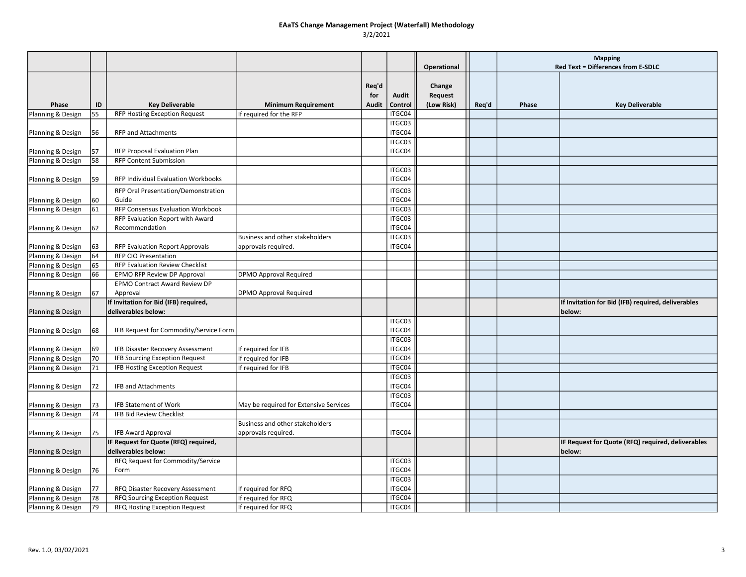|                                        |          |                                                              |                                            |                       |                  |                                        |       | <b>Mapping</b> |                                                              |
|----------------------------------------|----------|--------------------------------------------------------------|--------------------------------------------|-----------------------|------------------|----------------------------------------|-------|----------------|--------------------------------------------------------------|
|                                        |          |                                                              |                                            |                       |                  | Operational                            |       |                | Red Text = Differences from E-SDLC                           |
| Phase                                  | ID       | <b>Key Deliverable</b>                                       | <b>Minimum Requirement</b>                 | Reg'd<br>for<br>Audit | Audit<br>Control | Change<br><b>Request</b><br>(Low Risk) | Req'd | Phase          | <b>Key Deliverable</b>                                       |
| Planning & Design                      | 55       | <b>RFP Hosting Exception Request</b>                         | If required for the RFP                    |                       | ITGC04           |                                        |       |                |                                                              |
|                                        |          |                                                              |                                            |                       | ITGC03           |                                        |       |                |                                                              |
| Planning & Design                      | 56       | <b>RFP and Attachments</b>                                   |                                            |                       | ITGC04           |                                        |       |                |                                                              |
|                                        |          |                                                              |                                            |                       | ITGC03           |                                        |       |                |                                                              |
| Planning & Design                      | 57       | RFP Proposal Evaluation Plan                                 |                                            |                       | ITGC04           |                                        |       |                |                                                              |
| Planning & Design                      | 58       | <b>RFP Content Submission</b>                                |                                            |                       |                  |                                        |       |                |                                                              |
|                                        |          |                                                              |                                            |                       | ITGC03           |                                        |       |                |                                                              |
| Planning & Design                      | 59       | RFP Individual Evaluation Workbooks                          |                                            |                       | ITGC04           |                                        |       |                |                                                              |
|                                        |          | RFP Oral Presentation/Demonstration                          |                                            |                       | ITGC03           |                                        |       |                |                                                              |
| Planning & Design                      | 60       | Guide                                                        |                                            |                       | ITGC04           |                                        |       |                |                                                              |
| Planning & Design                      | 61       | RFP Consensus Evaluation Workbook                            |                                            |                       | ITGC03           |                                        |       |                |                                                              |
|                                        |          | RFP Evaluation Report with Award                             |                                            |                       | ITGC03           |                                        |       |                |                                                              |
| Planning & Design                      | 62       | Recommendation                                               |                                            |                       | ITGC04           |                                        |       |                |                                                              |
|                                        |          |                                                              | Business and other stakeholders            |                       | ITGC03           |                                        |       |                |                                                              |
| Planning & Design                      | 63       | RFP Evaluation Report Approvals                              | approvals required.                        |                       | ITGC04           |                                        |       |                |                                                              |
| Planning & Design                      | 64       | RFP CIO Presentation                                         |                                            |                       |                  |                                        |       |                |                                                              |
| Planning & Design                      | 65       | RFP Evaluation Review Checklist                              |                                            |                       |                  |                                        |       |                |                                                              |
| Planning & Design                      | 66       | EPMO RFP Review DP Approval                                  | <b>DPMO Approval Required</b>              |                       |                  |                                        |       |                |                                                              |
|                                        |          | EPMO Contract Award Review DP                                |                                            |                       |                  |                                        |       |                |                                                              |
| Planning & Design                      | 67       | Approval                                                     | <b>DPMO Approval Required</b>              |                       |                  |                                        |       |                |                                                              |
| Planning & Design                      |          | If Invitation for Bid (IFB) required,<br>deliverables below: |                                            |                       |                  |                                        |       |                | If Invitation for Bid (IFB) required, deliverables<br>below: |
|                                        |          |                                                              |                                            |                       | ITGC03           |                                        |       |                |                                                              |
| Planning & Design                      | 68       | IFB Request for Commodity/Service Form                       |                                            |                       | ITGC04           |                                        |       |                |                                                              |
|                                        |          |                                                              |                                            |                       | ITGC03           |                                        |       |                |                                                              |
| Planning & Design                      | 69       | IFB Disaster Recovery Assessment                             | If required for IFB                        |                       | ITGC04           |                                        |       |                |                                                              |
| Planning & Design                      | 70       | <b>IFB Sourcing Exception Request</b>                        | If required for IFB                        |                       | ITGC04           |                                        |       |                |                                                              |
| Planning & Design                      | 71       | IFB Hosting Exception Request                                | If required for IFB                        |                       | ITGC04           |                                        |       |                |                                                              |
|                                        |          |                                                              |                                            |                       | ITGC03           |                                        |       |                |                                                              |
| Planning & Design                      | 72       | <b>IFB and Attachments</b>                                   |                                            |                       | ITGC04           |                                        |       |                |                                                              |
|                                        |          |                                                              |                                            |                       | ITGC03           |                                        |       |                |                                                              |
| Planning & Design                      | 73       | <b>IFB Statement of Work</b>                                 | May be required for Extensive Services     |                       | ITGC04           |                                        |       |                |                                                              |
| Planning & Design                      | 74       | <b>IFB Bid Review Checklist</b>                              |                                            |                       |                  |                                        |       |                |                                                              |
|                                        |          |                                                              | Business and other stakeholders            |                       |                  |                                        |       |                |                                                              |
| Planning & Design                      | 75       | <b>IFB Award Approval</b>                                    | approvals required.                        |                       | ITGC04           |                                        |       |                |                                                              |
|                                        |          | IF Request for Quote (RFQ) required,                         |                                            |                       |                  |                                        |       |                | IF Request for Quote (RFQ) required, deliverables            |
| Planning & Design                      |          | deliverables below:                                          |                                            |                       | ITGC03           |                                        |       |                | below:                                                       |
|                                        |          | RFQ Request for Commodity/Service<br>Form                    |                                            |                       | ITGC04           |                                        |       |                |                                                              |
| Planning & Design                      | 76       |                                                              |                                            |                       | ITGC03           |                                        |       |                |                                                              |
|                                        |          | RFQ Disaster Recovery Assessment                             |                                            |                       | ITGC04           |                                        |       |                |                                                              |
| Planning & Design<br>Planning & Design | 77<br>78 | RFQ Sourcing Exception Request                               | If required for RFQ<br>If required for RFQ |                       | ITGC04           |                                        |       |                |                                                              |
|                                        | 79       |                                                              | If required for RFQ                        |                       | ITGC04           |                                        |       |                |                                                              |
| Planning & Design                      |          | RFQ Hosting Exception Request                                |                                            |                       |                  |                                        |       |                |                                                              |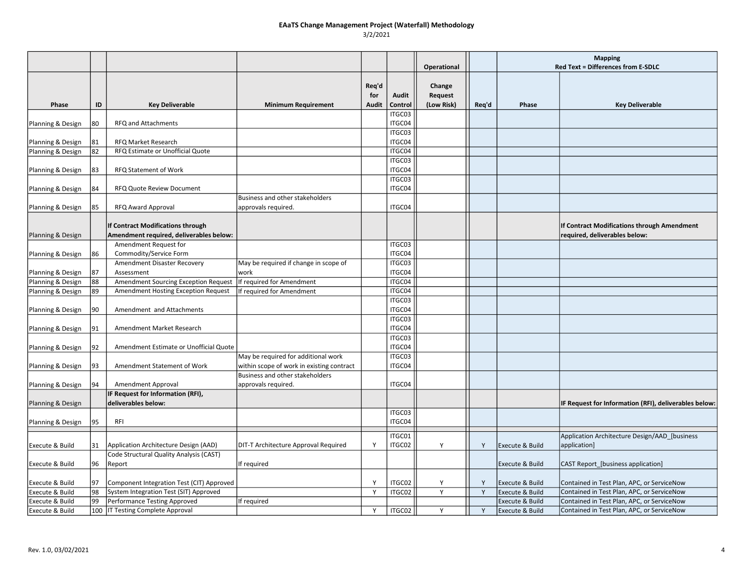|                   |    |                                                                              |                                           |              |                   |             |       | <b>Mapping</b>             |                                                                              |
|-------------------|----|------------------------------------------------------------------------------|-------------------------------------------|--------------|-------------------|-------------|-------|----------------------------|------------------------------------------------------------------------------|
|                   |    |                                                                              |                                           |              |                   | Operational |       |                            | <b>Red Text = Differences from E-SDLC</b>                                    |
|                   |    |                                                                              |                                           |              |                   |             |       |                            |                                                                              |
|                   |    |                                                                              |                                           | Req'd        |                   | Change      |       |                            |                                                                              |
|                   |    |                                                                              |                                           | for          | Audit             | Request     |       |                            |                                                                              |
| Phase             | ID | <b>Key Deliverable</b>                                                       | <b>Minimum Requirement</b>                | <b>Audit</b> | Control<br>ITGC03 | (Low Risk)  | Req'd | Phase                      | <b>Key Deliverable</b>                                                       |
| Planning & Design | 80 | RFQ and Attachments                                                          |                                           |              | ITGC04            |             |       |                            |                                                                              |
|                   |    |                                                                              |                                           |              | ITGC03            |             |       |                            |                                                                              |
| Planning & Design | 81 | RFQ Market Research                                                          |                                           |              | ITGC04            |             |       |                            |                                                                              |
| Planning & Design | 82 | RFQ Estimate or Unofficial Quote                                             |                                           |              | ITGC04            |             |       |                            |                                                                              |
|                   |    |                                                                              |                                           |              | ITGC03            |             |       |                            |                                                                              |
| Planning & Design | 83 | RFQ Statement of Work                                                        |                                           |              | ITGC04            |             |       |                            |                                                                              |
|                   |    |                                                                              |                                           |              | ITGC03            |             |       |                            |                                                                              |
| Planning & Design | 84 | RFQ Quote Review Document                                                    |                                           |              | ITGC04            |             |       |                            |                                                                              |
|                   |    |                                                                              | Business and other stakeholders           |              |                   |             |       |                            |                                                                              |
| Planning & Design | 85 | <b>RFQ Award Approval</b>                                                    | approvals required.                       |              | ITGC04            |             |       |                            |                                                                              |
|                   |    |                                                                              |                                           |              |                   |             |       |                            |                                                                              |
| Planning & Design |    | If Contract Modifications through<br>Amendment required, deliverables below: |                                           |              |                   |             |       |                            | If Contract Modifications through Amendment<br>required, deliverables below: |
|                   |    | Amendment Request for                                                        |                                           |              | ITGC03            |             |       |                            |                                                                              |
| Planning & Design | 86 | Commodity/Service Form                                                       |                                           |              | ITGC04            |             |       |                            |                                                                              |
|                   |    | Amendment Disaster Recovery                                                  | May be required if change in scope of     |              | ITGC03            |             |       |                            |                                                                              |
| Planning & Design | 87 | Assessment                                                                   | work                                      |              | ITGC04            |             |       |                            |                                                                              |
| Planning & Design | 88 | Amendment Sourcing Exception Request                                         | If required for Amendment                 |              | ITGC04            |             |       |                            |                                                                              |
| Planning & Design | 89 | Amendment Hosting Exception Request                                          | If required for Amendment                 |              | ITGC04            |             |       |                            |                                                                              |
|                   |    |                                                                              |                                           |              | ITGC03            |             |       |                            |                                                                              |
| Planning & Design | 90 | Amendment and Attachments                                                    |                                           |              | ITGC04            |             |       |                            |                                                                              |
|                   |    |                                                                              |                                           |              | ITGC03            |             |       |                            |                                                                              |
| Planning & Design | 91 | Amendment Market Research                                                    |                                           |              | ITGC04            |             |       |                            |                                                                              |
|                   |    |                                                                              |                                           |              | ITGC03            |             |       |                            |                                                                              |
| Planning & Design | 92 | Amendment Estimate or Unofficial Quote                                       |                                           |              | ITGC04            |             |       |                            |                                                                              |
|                   |    |                                                                              | May be required for additional work       |              | ITGC03            |             |       |                            |                                                                              |
| Planning & Design | 93 | Amendment Statement of Work                                                  | within scope of work in existing contract |              | ITGC04            |             |       |                            |                                                                              |
|                   |    |                                                                              | Business and other stakeholders           |              |                   |             |       |                            |                                                                              |
| Planning & Design | 94 | Amendment Approval                                                           | approvals required.                       |              | ITGC04            |             |       |                            |                                                                              |
|                   |    | IF Request for Information (RFI),                                            |                                           |              |                   |             |       |                            |                                                                              |
| Planning & Design |    | deliverables below:                                                          |                                           |              |                   |             |       |                            | IF Request for Information (RFI), deliverables below:                        |
|                   | 95 |                                                                              |                                           |              | ITGC03<br>ITGC04  |             |       |                            |                                                                              |
| Planning & Design |    | RFI                                                                          |                                           |              |                   |             |       |                            |                                                                              |
|                   |    |                                                                              |                                           |              | ITGC01            |             |       |                            | Application Architecture Design/AAD_[business                                |
| Execute & Build   | 31 | Application Architecture Design (AAD)                                        | DIT-T Architecture Approval Required      | Y            | ITGC02            | Υ           | Y     | <b>Execute &amp; Build</b> | application]                                                                 |
|                   |    | Code Structural Quality Analysis (CAST)                                      |                                           |              |                   |             |       |                            |                                                                              |
| Execute & Build   | 96 | Report                                                                       | If required                               |              |                   |             |       | Execute & Build            | CAST Report_[business application]                                           |
|                   |    |                                                                              |                                           |              |                   |             |       |                            |                                                                              |
| Execute & Build   | 97 | Component Integration Test (CIT) Approved                                    |                                           | <b>V</b>     | ITGC02            | Υ           | Y     | Execute & Build            | Contained in Test Plan, APC, or ServiceNow                                   |
| Execute & Build   | 98 | System Integration Test (SIT) Approved                                       |                                           | <sup>V</sup> | ITGC02            | Y           | Y     | Execute & Build            | Contained in Test Plan, APC, or ServiceNow                                   |
| Execute & Build   | 99 | Performance Testing Approved                                                 | If required                               |              |                   |             |       | Execute & Build            | Contained in Test Plan, APC, or ServiceNow                                   |
| Execute & Build   |    | 100   IT Testing Complete Approval                                           |                                           | Y            | ITGC02            | Y           | Y     | Execute & Build            | Contained in Test Plan, APC, or ServiceNow                                   |